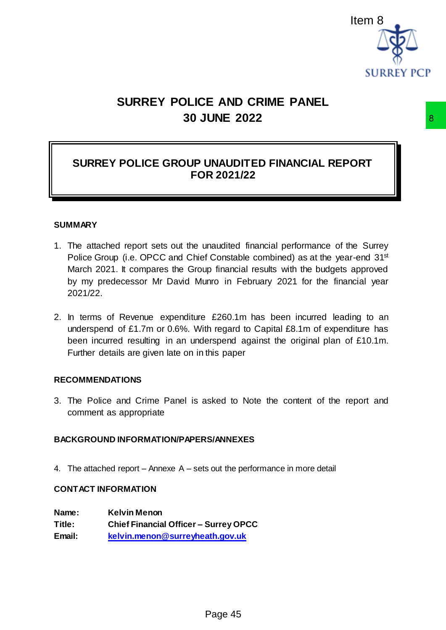

# **SURREY POLICE AND CRIME PANEL 30 JUNE 2022**

# **SURREY POLICE GROUP UNAUDITED FINANCIAL REPORT FOR 2021/22**

#### **SUMMARY**

- 1. The attached report sets out the unaudited financial performance of the Surrey Police Group (i.e. OPCC and Chief Constable combined) as at the year-end 31<sup>st</sup> March 2021. It compares the Group financial results with the budgets approved by my predecessor Mr David Munro in February 2021 for the financial year 2021/22. 8<br>
MNAUDITED FINANCIAL REPORT<br>
R 2021/22<br>
manudited financial performance of the Surrey<br>
of Constable combined) as at the year-end 31<sup>st</sup><br>
p financial results with the budgets approved<br>
mro in February 2021 for the financi
- 2. In terms of Revenue expenditure £260.1m has been incurred leading to an underspend of £1.7m or 0.6%. With regard to Capital £8.1m of expenditure has been incurred resulting in an underspend against the original plan of £10.1m. Further details are given late on in this paper

#### **RECOMMENDATIONS**

3. The Police and Crime Panel is asked to Note the content of the report and comment as appropriate

## **BACKGROUND INFORMATION/PAPERS/ANNEXES**

4. The attached report – Annexe A – sets out the performance in more detail

#### **CONTACT INFORMATION**

**Name: Kelvin Menon Title: Chief Financial Officer – Surrey OPCC Email: [kelvin.menon@surreyheath.gov.uk](mailto:kelvin.menon@surreyheath.gov.uk)**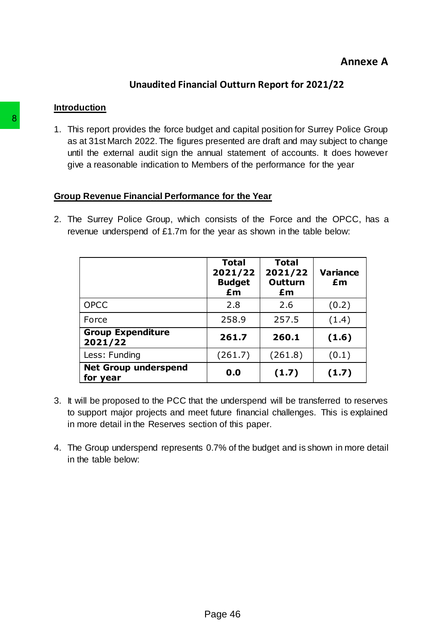# **Annexe A**

# **Unaudited Financial Outturn Report for 2021/22**

#### **Introduction**

1. This report provides the force budget and capital position for Surrey Police Group as at 31st March 2022. The figures presented are draft and may subject to change until the external audit sign the annual statement of accounts. It does however give a reasonable indication to Members of the performance for the year

## **Group Revenue Financial Performance for the Year**

2. The Surrey Police Group, which consists of the Force and the OPCC, has a revenue underspend of £1.7m for the year as shown in the table below:

|                                                                                                                                           | <b>Total</b><br>2021/22<br><b>Budget</b><br>£m                             | <b>Total</b><br>2021/22<br>Outturn<br>£m | <b>Variance</b><br>£m |
|-------------------------------------------------------------------------------------------------------------------------------------------|----------------------------------------------------------------------------|------------------------------------------|-----------------------|
| <b>OPCC</b>                                                                                                                               | 2.8                                                                        | 2.6                                      | (0.2)                 |
| Force                                                                                                                                     | 258.9                                                                      | 257.5                                    | (1.4)                 |
| <b>Group Expenditure</b><br>2021/22                                                                                                       | 261.7                                                                      | 260.1                                    | (1.6)                 |
| Less: Funding                                                                                                                             | (261.7)                                                                    | (261.8)                                  | (0.1)                 |
| <b>Net Group underspend</b><br>for year                                                                                                   | 0.0                                                                        | (1.7)                                    | (1.7)                 |
| to support major projects and meet future financial challenges. This is explaned<br>in more detail in the Reserves section of this paper. | 4. The Group underspend represents 0.7% of the budget and is shown in more |                                          |                       |

- 3. It will be proposed to the PCC that the underspend will be transferred to reserves to support major projects and meet future financial challenges. This is explained in more detail in the Reserves section of this paper.
- 4. The Group underspend represents 0.7% of the budget and is shown in more detail in the table below: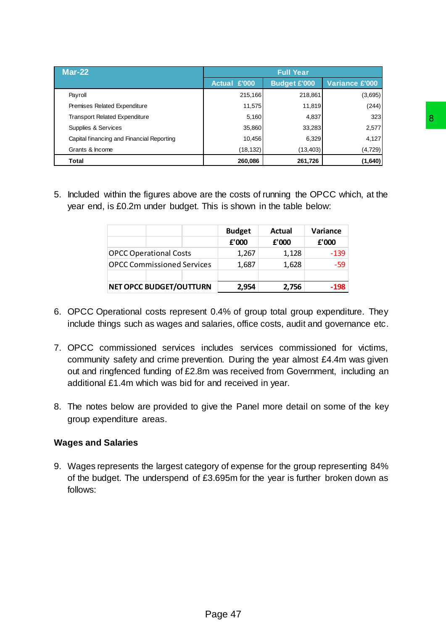| <b>Mar-22</b>                             |                     | <b>Full Year</b>    |                       |
|-------------------------------------------|---------------------|---------------------|-----------------------|
|                                           | <b>Actual £'000</b> | <b>Budget £'000</b> | <b>Variance £'000</b> |
| Payroll                                   | 215,166             | 218,861             | (3,695)               |
| Premises Related Expenditure              | 11,575              | 11,819              | (244)                 |
| <b>Transport Related Expenditure</b>      | 5,160               | 4,837               | 323                   |
| Supplies & Services                       | 35,860              | 33,283              | 2,577                 |
| Capital financing and Financial Reporting | 10.456              | 6,329               | 4,127                 |
| Grants & Income                           | (18, 132)           | (13, 403)           | (4, 729)              |
| Total                                     | 260,086             | 261,726             | (1,640)               |

5. Included within the figures above are the costs of running the OPCC which, at the year end, is £0.2m under budget. This is shown in the table below:

- 6. OPCC Operational costs represent 0.4% of group total group expenditure. They include things such as wages and salaries, office costs, audit and governance etc.
- 7. OPCC commissioned services includes services commissioned for victims, community safety and crime prevention. During the year almost £4.4m was given out and ringfenced funding of £2.8m was received from Government, including an additional £1.4m which was bid for and received in year.
- 8. The notes below are provided to give the Panel more detail on some of the key group expenditure areas.

## **Wages and Salaries**

9. Wages represents the largest category of expense for the group representing 84% of the budget. The underspend of £3.695m for the year is further broken down as follows: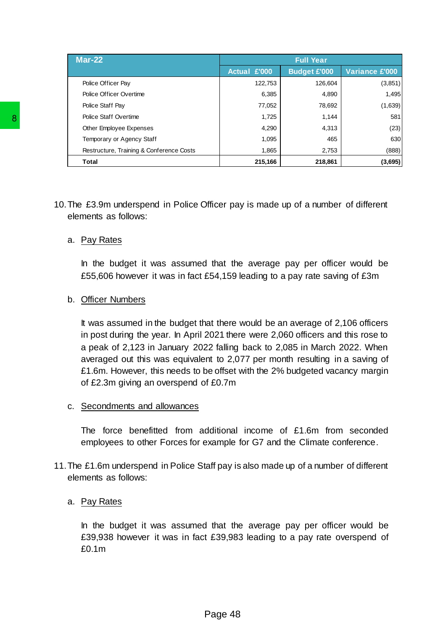| <b>Mar-22</b>                            |                     | <b>Full Year</b>    |                       |
|------------------------------------------|---------------------|---------------------|-----------------------|
|                                          | <b>Actual £'000</b> | <b>Budget £'000</b> | <b>Variance £'000</b> |
| Police Officer Pay                       | 122,753             | 126,604             | (3, 851)              |
| Police Officer Overtime                  | 6,385               | 4,890               | 1,495                 |
| Police Staff Pay                         | 77,052              | 78,692              | (1,639)               |
| Police Staff Overtime                    | 1,725               | 1.144               | 581                   |
| Other Employee Expenses                  | 4,290               | 4,313               | (23)                  |
| Temporary or Agency Staff                | 1,095               | 465                 | 630                   |
| Restructure, Training & Conference Costs | 1,865               | 2,753               | (888)                 |
| <b>Total</b>                             | 215,166             | 218,861             | (3,695)               |

10.The £3.9m underspend in Police Officer pay is made up of a number of different elements as follows:

#### a. Pay Rates

In the budget it was assumed that the average pay per officer would be £55,606 however it was in fact £54,159 leading to a pay rate saving of £3m

#### b. Officer Numbers

It was assumed in the budget that there would be an average of 2,106 officers in post during the year. In April 2021 there were 2,060 officers and this rose to a peak of 2,123 in January 2022 falling back to 2,085 in March 2022. When averaged out this was equivalent to 2,077 per month resulting in a saving of £1.6m. However, this needs to be offset with the 2% budgeted vacancy margin of £2.3m giving an overspend of £0.7m B We start Overrine<br>
The Employe Expenses<br>
Temparary or Agency Start<br>
Temparary or Agency Start<br>
Tematary or Agency Start<br>
Text<br>
Text<br>
Text<br>
Text<br>
Text<br>
10. The £3.9m underspend in Police Officer pa<br>
elements as follows:<br>

#### c. Secondments and allowances

The force benefitted from additional income of £1.6m from seconded employees to other Forces for example for G7 and the Climate conference.

11.The £1.6m underspend in Police Staff pay is also made up of a number of different elements as follows:

## a. Pay Rates

In the budget it was assumed that the average pay per officer would be £39,938 however it was in fact £39,983 leading to a pay rate overspend of £0.1m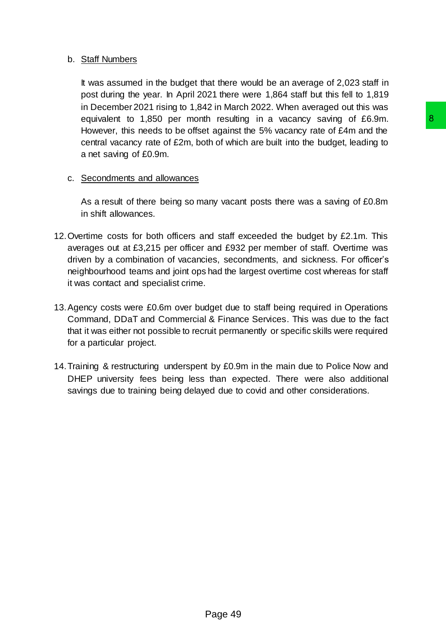## b. Staff Numbers

It was assumed in the budget that there would be an average of 2,023 staff in post during the year. In April 2021 there were 1,864 staff but this fell to 1,819 in December 2021 rising to 1,842 in March 2022. When averaged out this was equivalent to 1,850 per month resulting in a vacancy saving of £6.9m. However, this needs to be offset against the 5% vacancy rate of £4m and the central vacancy rate of £2m, both of which are built into the budget, leading to a net saving of £0.9m.

## c. Secondments and allowances

As a result of there being so many vacant posts there was a saving of £0.8m in shift allowances.

- 12.Overtime costs for both officers and staff exceeded the budget by £2.1m. This averages out at £3,215 per officer and £932 per member of staff. Overtime was driven by a combination of vacancies, secondments, and sickness. For officer's neighbourhood teams and joint ops had the largest overtime cost whereas for staff it was contact and specialist crime. In esulting in a vacancy saving of £6.9m.<br>
In equisit the 5% vacancy rate of £4m and the<br>
drapaint the 5% vacancy rate of £4m and the<br>
drapaint posts there was a saving of £0.8m<br>
and staff exceeded the budget by £2.1m. Th
- 13.Agency costs were £0.6m over budget due to staff being required in Operations Command, DDaT and Commercial & Finance Services. This was due to the fact that it was either not possible to recruit permanently or specific skills were required for a particular project.
- 14.Training & restructuring underspent by £0.9m in the main due to Police Now and DHEP university fees being less than expected. There were also additional savings due to training being delayed due to covid and other considerations.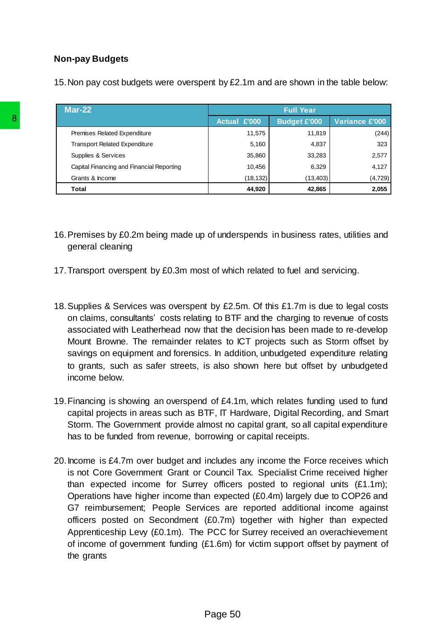## **Non-pay Budgets**

15.Non pay cost budgets were overspent by £2.1m and are shown in the table below:

| Mar-22                                    |              | <b>Full Year</b>    |                |
|-------------------------------------------|--------------|---------------------|----------------|
|                                           | Actual £'000 | <b>Budget £'000</b> | Variance £'000 |
| Premises Related Expenditure              | 11,575       | 11,819              | (244)          |
| <b>Transport Related Expenditure</b>      | 5,160        | 4,837               | 323            |
| Supplies & Services                       | 35,860       | 33,283              | 2,577          |
| Capital Financing and Financial Reporting | 10,456       | 6,329               | 4,127          |
| Grants & Income                           | (18, 132)    | (13, 403)           | (4, 729)       |
| Total                                     | 44,920       | 42,865              | 2,055          |

- 16.Premises by £0.2m being made up of underspends in business rates, utilities and general cleaning
- 17.Transport overspent by £0.3m most of which related to fuel and servicing.
- 18.Supplies & Services was overspent by £2.5m. Of this £1.7m is due to legal costs on claims, consultants' costs relating to BTF and the charging to revenue of costs associated with Leatherhead now that the decision has been made to re-develop Mount Browne. The remainder relates to ICT projects such as Storm offset by savings on equipment and forensics. In addition, unbudgeted expenditure relating to grants, such as safer streets, is also shown here but offset by unbudgeted income below.
- 19.Financing is showing an overspend of £4.1m, which relates funding used to fund capital projects in areas such as BTF, IT Hardware, Digital Recording, and Smart Storm. The Government provide almost no capital grant, so all capital expenditure has to be funded from revenue, borrowing or capital receipts.
- 20.Income is £4.7m over budget and includes any income the Force receives which is not Core Government Grant or Council Tax. Specialist Crime received higher than expected income for Surrey officers posted to regional units (£1.1m); Operations have higher income than expected (£0.4m) largely due to COP26 and G7 reimbursement; People Services are reported additional income against officers posted on Secondment (£0.7m) together with higher than expected Apprenticeship Levy (£0.1m). The PCC for Surrey received an overachievement of income of government funding (£1.6m) for victim support offset by payment of the grants Remetal Speeding<br>
Transport Related Expenditure<br>
Supplets & Services<br>
Capital Financing and Francial Reporting<br>
Capital Financing and Francial Reporting<br>
Total<br>
16. Premisses by £0.2m being made up of under<br>
general cleani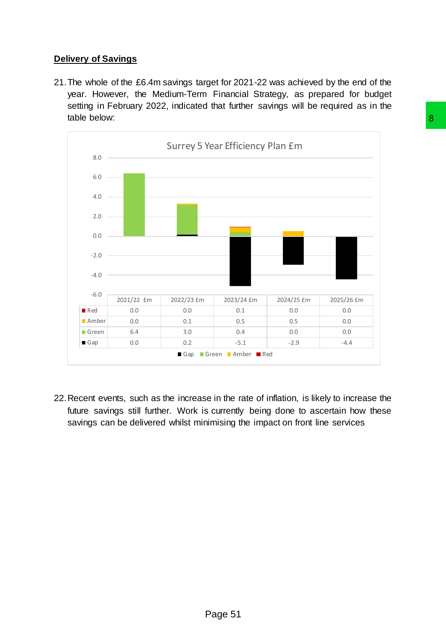# **Delivery of Savings**

21.The whole of the £6.4m savings target for 2021-22 was achieved by the end of the year. However, the Medium-Term Financial Strategy, as prepared for budget setting in February 2022, indicated that further savings will be required as in the table below:



22.Recent events, such as the increase in the rate of inflation, is likely to increase the future savings still further. Work is currently being done to ascertain how these savings can be delivered whilst minimising the impact on front line services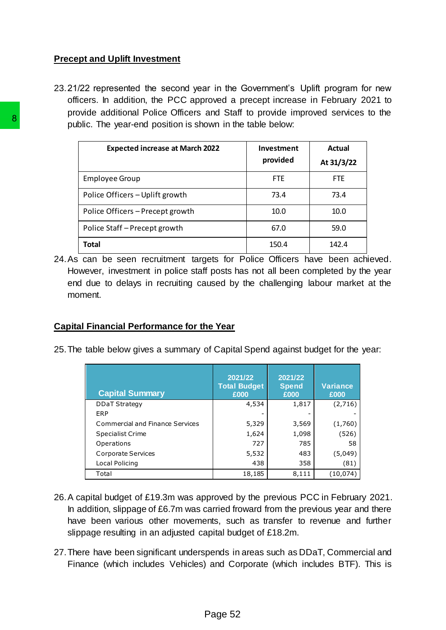## **Precept and Uplift Investment**

23.21/22 represented the second year in the Government's Uplift program for new officers. In addition, the PCC approved a precept increase in February 2021 to provide additional Police Officers and Staff to provide improved services to the public. The year-end position is shown in the table below:

| <b>Expected increase at March 2022</b>                                                                                              |                                | Investment<br>provided  | <b>Actual</b><br>At 31/3/22                   |
|-------------------------------------------------------------------------------------------------------------------------------------|--------------------------------|-------------------------|-----------------------------------------------|
| <b>Employee Group</b>                                                                                                               |                                | <b>FTE</b>              | <b>FTE</b>                                    |
| Police Officers - Uplift growth                                                                                                     |                                | 73.4                    | 73.4                                          |
| Police Officers - Precept growth                                                                                                    |                                | 10.0                    | 10.0                                          |
| Police Staff-Precept growth                                                                                                         |                                | 67.0                    | 59.0                                          |
| <b>Total</b>                                                                                                                        |                                | 150.4                   | 142.4                                         |
|                                                                                                                                     |                                |                         |                                               |
| <b>Capital Financial Performance for the Year</b><br>25. The table below gives a summary of Capital Spend against budget for the ye |                                |                         |                                               |
|                                                                                                                                     | 2021/22<br><b>Total Budget</b> | 2021/22<br><b>Spend</b> |                                               |
| <b>Capital Summary</b><br><b>DDaT Strategy</b><br>ERP                                                                               | £000<br>4,534                  | £000<br>1,817           |                                               |
| Commercial and Finance Services                                                                                                     | 5,329                          | 3,569                   | <b>Variance</b><br>£000<br>(2,716)<br>(1,760) |
| <b>Specialist Crime</b>                                                                                                             | 1,624                          | 1,098                   |                                               |
| Operations<br>Corporate Services                                                                                                    | 727<br>5,532                   | 785<br>483              | (526)<br>(5,049)                              |
| Local Policing                                                                                                                      | 438<br>18,185                  | 358<br>8,111            | (81)<br>(10, 074)                             |

24.As can be seen recruitment targets for Police Officers have been achieved. However, investment in police staff posts has not all been completed by the year end due to delays in recruiting caused by the challenging labour market at the moment.

## **Capital Financial Performance for the Year**

| <b>Capital Summary</b>          | 2021/22<br><b>Total Budget</b><br>£000 | 2021/22<br><b>Spend</b><br>£000 | <b>Variance</b><br>£000 |
|---------------------------------|----------------------------------------|---------------------------------|-------------------------|
| <b>DDaT Strategy</b>            | 4,534                                  | 1,817                           | (2,716)                 |
| ERP                             |                                        |                                 |                         |
| Commercial and Finance Services | 5,329                                  | 3,569                           | (1,760)                 |
| <b>Specialist Crime</b>         | 1,624                                  | 1,098                           | (526)                   |
| Operations                      | 727                                    | 785                             | 58                      |
| Corporate Services              | 5,532                                  | 483                             | (5,049)                 |
| Local Policing                  | 438                                    | 358                             | (81)                    |
| Total                           | 18,185                                 | 8,111                           | (10,074                 |

- 26.A capital budget of £19.3m was approved by the previous PCC in February 2021. In addition, slippage of £6.7m was carried froward from the previous year and there have been various other movements, such as transfer to revenue and further slippage resulting in an adjusted capital budget of £18.2m.
- 27.There have been significant underspends in areas such as DDaT, Commercial and Finance (which includes Vehicles) and Corporate (which includes BTF). This is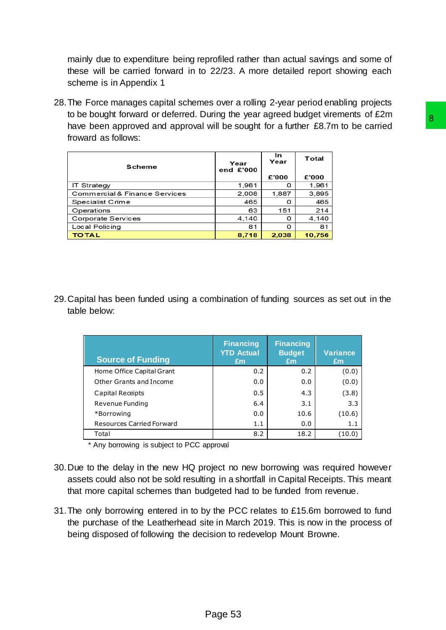mainly due to expenditure being reprofiled rather than actual savings and some of these will be carried forward in to 22/23. A more detailed report showing each scheme is in Appendix 1

28.The Force manages capital schemes over a rolling 2-year period enabling projects to be bought forward or deferred. During the year agreed budget virements of £2m have been approved and approval will be sought for a further £8.7m to be carried froward as follows:

| Scheme                        | Year<br>end £'000 | In<br>Year | Total  |
|-------------------------------|-------------------|------------|--------|
|                               |                   | £'000      | £'000  |
| <b>IT Strategy</b>            | 1,961             | 0          | 1,961  |
| Commercial & Finance Services | 2.008             | 1.887      | 3,895  |
| Specialist Crime              | 465               | 0          | 465    |
| Operations                    | 63                | 151        | 214    |
| Corporate Services            | 4,140             | 0          | 4,140  |
| Local Policing                | 81                | 0          | 81     |
| <b>TOTAL</b>                  | 8,718             | 2,038      | 10,756 |

29.Capital has been funded using a combination of funding sources as set out in the table below:

| Strategy<br>mmercial & Finance Services<br>ecialist Crime<br>erations<br>rporate Services<br>al Policing<br><b>TAL</b>                                                                                                                                                                                                                                                                                                                            | end £'000<br>1,961<br>2,008<br>465<br>63<br>4,140<br>81<br>8,718 | £'000<br>0<br>1,887<br>o<br>151<br>0<br>0 | £'000<br>1,961<br>3,895<br>465<br>214 |                       |
|---------------------------------------------------------------------------------------------------------------------------------------------------------------------------------------------------------------------------------------------------------------------------------------------------------------------------------------------------------------------------------------------------------------------------------------------------|------------------------------------------------------------------|-------------------------------------------|---------------------------------------|-----------------------|
|                                                                                                                                                                                                                                                                                                                                                                                                                                                   |                                                                  |                                           |                                       |                       |
|                                                                                                                                                                                                                                                                                                                                                                                                                                                   |                                                                  |                                           |                                       |                       |
|                                                                                                                                                                                                                                                                                                                                                                                                                                                   |                                                                  |                                           |                                       |                       |
|                                                                                                                                                                                                                                                                                                                                                                                                                                                   |                                                                  |                                           |                                       |                       |
|                                                                                                                                                                                                                                                                                                                                                                                                                                                   |                                                                  |                                           | 4,140                                 |                       |
|                                                                                                                                                                                                                                                                                                                                                                                                                                                   |                                                                  |                                           |                                       | 81                    |
|                                                                                                                                                                                                                                                                                                                                                                                                                                                   |                                                                  | 2,038                                     | 10,756                                |                       |
| ital has been funded using a combination of funding sources as set out in the<br>e below:                                                                                                                                                                                                                                                                                                                                                         |                                                                  |                                           |                                       |                       |
| <b>Source of Funding</b>                                                                                                                                                                                                                                                                                                                                                                                                                          | <b>Financing</b><br><b>YTD Actual</b><br>£m                      | <b>Financing</b><br><b>Budget</b><br>£m   |                                       | <b>Variance</b><br>£m |
| Home Office Capital Grant                                                                                                                                                                                                                                                                                                                                                                                                                         | 0.2                                                              |                                           | 0.2                                   |                       |
| <b>Other Grants and Income</b>                                                                                                                                                                                                                                                                                                                                                                                                                    | 0.0                                                              |                                           | 0.0                                   |                       |
|                                                                                                                                                                                                                                                                                                                                                                                                                                                   | 0.5                                                              |                                           | 4.3                                   |                       |
| Capital Receipts                                                                                                                                                                                                                                                                                                                                                                                                                                  |                                                                  |                                           |                                       |                       |
| Revenue Funding                                                                                                                                                                                                                                                                                                                                                                                                                                   | 6.4                                                              |                                           | 3.1                                   |                       |
| *Borrowing                                                                                                                                                                                                                                                                                                                                                                                                                                        | 0.0                                                              |                                           | 10.6                                  |                       |
| <b>Resources Carried Forward</b>                                                                                                                                                                                                                                                                                                                                                                                                                  | 1.1                                                              |                                           | 0.0                                   |                       |
| Total                                                                                                                                                                                                                                                                                                                                                                                                                                             | 8.2                                                              |                                           | 18.2                                  |                       |
| * Any borrowing is subject to PCC approval<br>to the delay in the new HQ project no new borrowing was required however<br>ets could also not be sold resulting in a shortfall in Capital Receipts. This meant<br>more capital schemes than budgeted had to be funded from revenue.<br>only borrowing entered in to by the PCC relates to £15.6m borrowed to fund<br>purchase of the Leatherhead site in March 2019. This is now in the process of |                                                                  |                                           |                                       |                       |
| g disposed of following the decision to redevelop Mount Browne.                                                                                                                                                                                                                                                                                                                                                                                   |                                                                  |                                           |                                       |                       |

- 30.Due to the delay in the new HQ project no new borrowing was required however assets could also not be sold resulting in a shortfall in Capital Receipts. This meant that more capital schemes than budgeted had to be funded from revenue.
- 31.The only borrowing entered in to by the PCC relates to £15.6m borrowed to fund the purchase of the Leatherhead site in March 2019. This is now in the process of being disposed of following the decision to redevelop Mount Browne.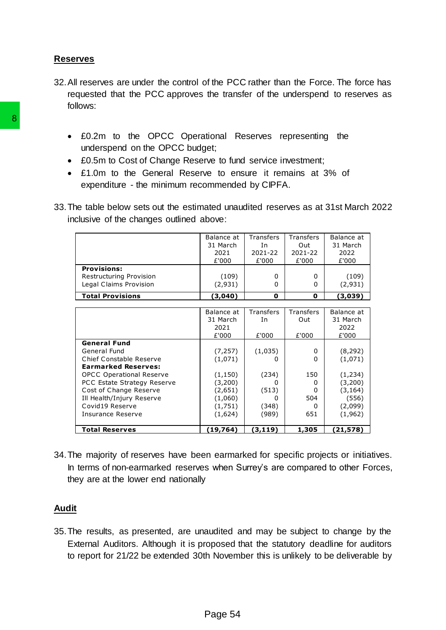## **Reserves**

- 32.All reserves are under the control of the PCC rather than the Force. The force has requested that the PCC approves the transfer of the underspend to reserves as follows:
	- £0.2m to the OPCC Operational Reserves representing the underspend on the OPCC budget;
	- £0.5m to Cost of Change Reserve to fund service investment;
	- £1.0m to the General Reserve to ensure it remains at 3% of expenditure - the minimum recommended by CIPFA.
- 33.The table below sets out the estimated unaudited reserves as at 31st March 2022 inclusive of the changes outlined above:

| <b>Provisions:</b><br>Restructuring Provision<br>Legal Claims Provision                                                                                                                            | £'000                                                           | £'000                                      | £'000                            |                                                                |
|----------------------------------------------------------------------------------------------------------------------------------------------------------------------------------------------------|-----------------------------------------------------------------|--------------------------------------------|----------------------------------|----------------------------------------------------------------|
|                                                                                                                                                                                                    | (109)<br>(2,931)                                                | 0<br>0                                     | 0<br>0                           | £'000<br>(109)<br>(2,931)                                      |
| <b>Total Provisions</b>                                                                                                                                                                            | (3,040)                                                         | 0                                          | 0                                | (3,039)                                                        |
|                                                                                                                                                                                                    | Balance at<br>31 March<br>2021                                  | Transfers<br>In                            | Transfers<br>Out                 | Balance at<br>31 March<br>2022                                 |
| <b>General Fund</b><br>General Fund<br>Chief Constable Reserve                                                                                                                                     | £'000<br>(7, 257)<br>(1,071)                                    | £'000<br>(1,035)<br>0                      | £'000<br>0<br>0                  | £'000<br>(8, 292)<br>(1,071)                                   |
| <b>Earmarked Reserves:</b><br><b>OPCC Operational Reserve</b><br>PCC Estate Strategy Reserve<br>Cost of Change Reserve<br>Ill Health/Injury Reserve<br>Covid19 Reserve<br><b>Insurance Reserve</b> | (1, 150)<br>(3,200)<br>(2,651)<br>(1,060)<br>(1,751)<br>(1,624) | (234)<br>0<br>(513)<br>0<br>(348)<br>(989) | 150<br>0<br>0<br>504<br>0<br>651 | (1, 234)<br>(3,200)<br>(3, 164)<br>(556)<br>(2,099)<br>(1,962) |
| <b>Total Reserves</b>                                                                                                                                                                              | (19, 764)                                                       | (3, 119)                                   | 1,305                            | (21, 578)                                                      |

34.The majority of reserves have been earmarked for specific projects or initiatives. In terms of non-earmarked reserves when Surrey's are compared to other Forces, they are at the lower end nationally

## **Audit**

35.The results, as presented, are unaudited and may be subject to change by the External Auditors. Although it is proposed that the statutory deadline for auditors to report for 21/22 be extended 30th November this is unlikely to be deliverable by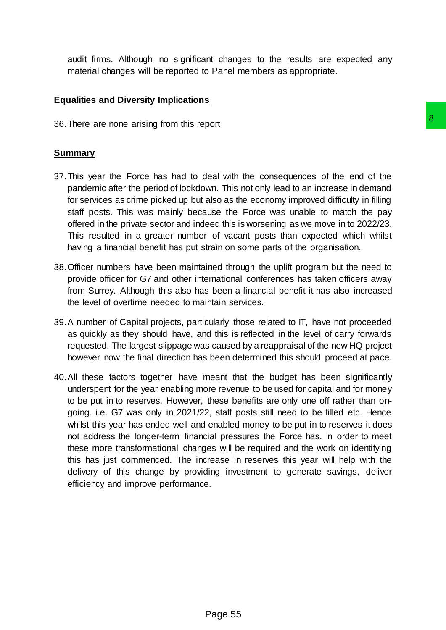audit firms. Although no significant changes to the results are expected any material changes will be reported to Panel members as appropriate.

## **Equalities and Diversity Implications**

36.There are none arising from this report

#### **Summary**

- 37.This year the Force has had to deal with the consequences of the end of the pandemic after the period of lockdown. This not only lead to an increase in demand for services as crime picked up but also as the economy improved difficulty in filling staff posts. This was mainly because the Force was unable to match the pay offered in the private sector and indeed this is worsening as we move in to 2022/23. This resulted in a greater number of vacant posts than expected which whilst having a financial benefit has put strain on some parts of the organisation.
- 38.Officer numbers have been maintained through the uplift program but the need to provide officer for G7 and other international conferences has taken officers away from Surrey. Although this also has been a financial benefit it has also increased the level of overtime needed to maintain services.
- 39.A number of Capital projects, particularly those related to IT, have not proceeded as quickly as they should have, and this is reflected in the level of carry forwards requested. The largest slippage was caused by a reappraisal of the new HQ project however now the final direction has been determined this should proceed at pace.
- 40.All these factors together have meant that the budget has been significantly underspent for the year enabling more revenue to be used for capital and for money to be put in to reserves. However, these benefits are only one off rather than ongoing. i.e. G7 was only in 2021/22, staff posts still need to be filled etc. Hence whilst this year has ended well and enabled money to be put in to reserves it does not address the longer-term financial pressures the Force has. In order to meet these more transformational changes will be required and the work on identifying this has just commenced. The increase in reserves this year will help with the delivery of this change by providing investment to generate savings, deliver efficiency and improve performance. **Book and the consequences of the end of the local with the consequences of the end of the lead to an inforcese in demand wals as the economy improved difficulty in filling ause the Force was unable to match the pay and th**